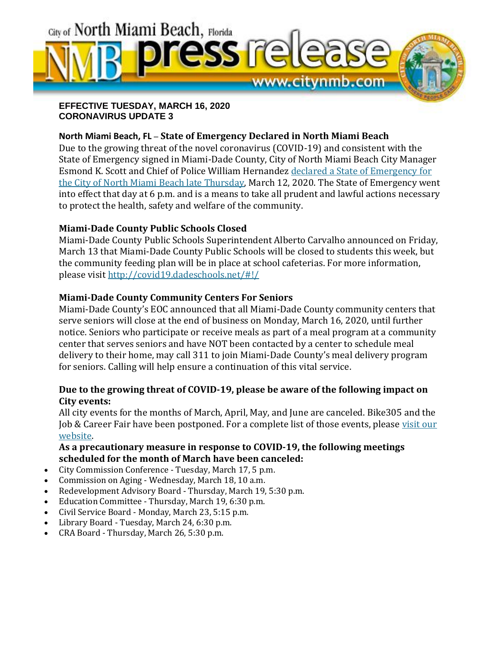

**EFFECTIVE TUESDAY, MARCH 16, 2020 CORONAVIRUS UPDATE 3**

#### **North Miami Beach, FL** – **State of Emergency Declared in North Miami Beach**

Due to the growing threat of the novel coronavirus (COVID-19) and consistent with the State of Emergency signed in Miami-Dade County, City of North Miami Beach City Manager Esmond K. Scott and Chief of Police William Hernandez declared a State of [Emergency](https://files.constantcontact.com/22054ab2601/619b4cea-5cc5-4a7f-8868-388975b81867.pdf) for the City of North Miami Beach late [Thursday,](https://files.constantcontact.com/22054ab2601/619b4cea-5cc5-4a7f-8868-388975b81867.pdf) March 12, 2020. The State of Emergency went into effect that day at 6 p.m. and is a means to take all prudent and lawful actions necessary to protect the health, safety and welfare of the community.

## **Miami-Dade County Public Schools Closed**

Miami-Dade County Public Schools Superintendent Alberto Carvalho announced on Friday, March 13 that Miami-Dade County Public Schools will be closed to students this week, but the community feeding plan will be in place at school cafeterias. For more information, please visit <http://covid19.dadeschools.net/#!/>

## **Miami-Dade County Community Centers For Seniors**

Miami-Dade County's EOC announced that all Miami-Dade County community centers that serve seniors will close at the end of business on Monday, March 16, 2020, until further notice. Seniors who participate or receive meals as part of a meal program at a community center that serves seniors and have NOT been contacted by a center to schedule meal delivery to their home, may call 311 to join Miami-Dade County's meal delivery program for seniors. Calling will help ensure a continuation of this vital service.

## **Due to the growing threat of COVID-19, please be aware of the following impact on City events:**

All city events for the months of March, April, May, and June are canceled. Bike305 and the Job & Career Fair have been postponed. For a complete list of those events, please [visit](https://www.citynmb.com/calendar.aspx?CID=14,) our [website.](https://www.citynmb.com/calendar.aspx?CID=14,)

## **As a precautionary measure in response to COVID-19, the following meetings scheduled for the month of March have been canceled:**

- City Commission Conference Tuesday, March 17, 5 p.m.
- Commission on Aging Wednesday, March 18, 10 a.m.
- Redevelopment Advisory Board Thursday, March 19, 5:30 p.m.
- Education Committee Thursday, March 19, 6:30 p.m.
- Civil Service Board Monday, March 23, 5:15 p.m.
- Library Board Tuesday, March 24, 6:30 p.m.
- CRA Board Thursday, March 26, 5:30 p.m.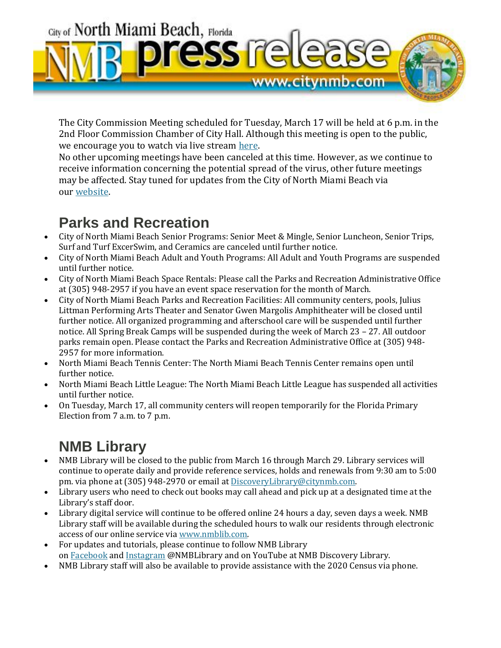

The City Commission Meeting scheduled for Tuesday, March 17 will be held at 6 p.m. in the 2nd Floor Commission Chamber of City Hall. Although this meeting is open to the public, we encourage you to watch via live stream [here.](https://www.citynmb.com/174/NMBTV-Live-Stream)

No other upcoming meetings have been canceled at this time. However, as we continue to receive information concerning the potential spread of the virus, other future meetings may be affected. Stay tuned for updates from the City of North Miami Beach via our [website.](https://www.citynmb.com/coronavirus)

# **Parks and Recreation**

- City of North Miami Beach Senior Programs: Senior Meet & Mingle, Senior Luncheon, Senior Trips, Surf and Turf ExcerSwim, and Ceramics are canceled until further notice.
- City of North Miami Beach Adult and Youth Programs: All Adult and Youth Programs are suspended until further notice.
- City of North Miami Beach Space Rentals: Please call the Parks and Recreation Administrative Office at (305) 948-2957 if you have an event space reservation for the month of March.
- City of North Miami Beach Parks and Recreation Facilities: All community centers, pools, Julius Littman Performing Arts Theater and Senator Gwen Margolis Amphitheater will be closed until further notice. All organized programming and afterschool care will be suspended until further notice. All Spring Break Camps will be suspended during the week of March 23 – 27. All outdoor parks remain open. Please contact the Parks and Recreation Administrative Office at (305) 948- 2957 for more information.
- North Miami Beach Tennis Center: The North Miami Beach Tennis Center remains open until further notice.
- North Miami Beach Little League: The North Miami Beach Little League has suspended all activities until further notice.
- On Tuesday, March 17, all community centers will reopen temporarily for the Florida Primary Election from 7 a.m. to 7 p.m.

# **NMB Library**

- NMB Library will be closed to the public from March 16 through March 29. Library services will continue to operate daily and provide reference services, holds and renewals from 9:30 am to 5:00 pm. via phone at (305) 948-2970 or email at [DiscoveryLibrary@citynmb.com.](mailto:DiscoveryLibrary@citynmb.com)
- Library users who need to check out books may call ahead and pick up at a designated time at the Library's staff door.
- Library digital service will continue to be offered online 24 hours a day, seven days a week. NMB Library staff will be available during the scheduled hours to walk our residents through electronic access of our online service via [www.nmblib.com.](https://nmblib.weebly.com/)
- For updates and tutorials, please continue to follow NMB Library on [Facebook](https://www.facebook.com/NMBLIB/) and [Instagram](https://www.instagram.com/nmblibrary/) @NMBLibrary and on YouTube at NMB Discovery Library.
- NMB Library staff will also be available to provide assistance with the 2020 Census via phone.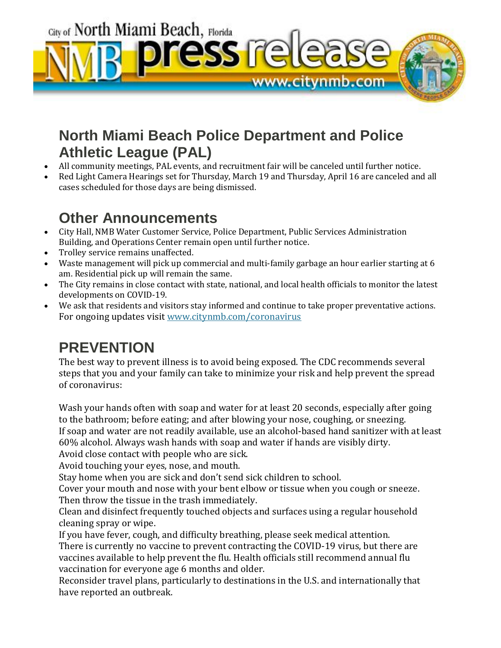City of North Miami Beach, Florida ress re <u>www.citynmb.com</u>

# **North Miami Beach Police Department and Police Athletic League (PAL)**

- All community meetings, PAL events, and recruitment fair will be canceled until further notice.
- Red Light Camera Hearings set for Thursday, March 19 and Thursday, April 16 are canceled and all cases scheduled for those days are being dismissed.

# **Other Announcements**

- City Hall, NMB Water Customer Service, Police Department, Public Services Administration Building, and Operations Center remain open until further notice.
- Trolley service remains unaffected.
- Waste management will pick up commercial and multi-family garbage an hour earlier starting at 6 am. Residential pick up will remain the same.
- The City remains in close contact with state, national, and local health officials to monitor the latest developments on COVID-19.
- We ask that residents and visitors stay informed and continue to take proper preventative actions. For ongoing updates visit [www.citynmb.com/coronavirus](https://www.citynmb.com/coronavirus)

# **PREVENTION**

The best way to prevent illness is to avoid being exposed. The CDC recommends several steps that you and your family can take to minimize your risk and help prevent the spread of coronavirus:

Wash your hands often with soap and water for at least 20 seconds, especially after going to the bathroom; before eating; and after blowing your nose, coughing, or sneezing. If soap and water are not readily available, use an alcohol-based hand sanitizer with at least 60% alcohol. Always wash hands with soap and water if hands are visibly dirty.

Avoid close contact with people who are sick.

Avoid touching your eyes, nose, and mouth.

Stay home when you are sick and don't send sick children to school.

Cover your mouth and nose with your bent elbow or tissue when you cough or sneeze. Then throw the tissue in the trash immediately.

Clean and disinfect frequently touched objects and surfaces using a regular household cleaning spray or wipe.

If you have fever, cough, and difficulty breathing, please seek medical attention. There is currently no vaccine to prevent contracting the COVID-19 virus, but there are vaccines available to help prevent the flu. Health officials still recommend annual flu vaccination for everyone age 6 months and older.

Reconsider travel plans, particularly to destinations in the U.S. and internationally that have reported an outbreak.